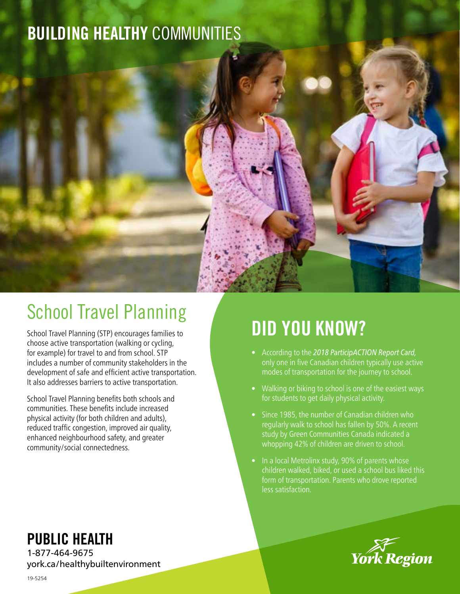### BUILDING HEALTHY COMMUNITIES



School Travel Planning (STP) encourages families to choose active transportation (walking or cycling, for example) for travel to and from school. STP includes a number of community stakeholders in the development of safe and efficient active transportation. It also addresses barriers to active transportation.

School Travel Planning benefits both schools and communities. These benefits include increased physical activity (for both children and adults), reduced traffic congestion, improved air quality, enhanced neighbourhood safety, and greater community/social connectedness.

PUBLIC HEALTH

1-877-464-9675 york.ca/healthybuiltenvironment

# DID YOU KNOW?

- According to the *2018 ParticipACTION Report Card,* only one in five Canadian children typically use active modes of transportation for the journey to school.
- Walking or biking to school is one of the easiest ways for students to get daily physical activity.
- Since 1985, the number of Canadian children who regularly walk to school has fallen by 50%. A recent study by Green Communities Canada indicated a whopping 42% of children are driven to school.
- In a local Metrolinx study, 90% of parents whose children walked, biked, or used a school bus liked this form of transportation. Parents who drove reported less satisfaction.